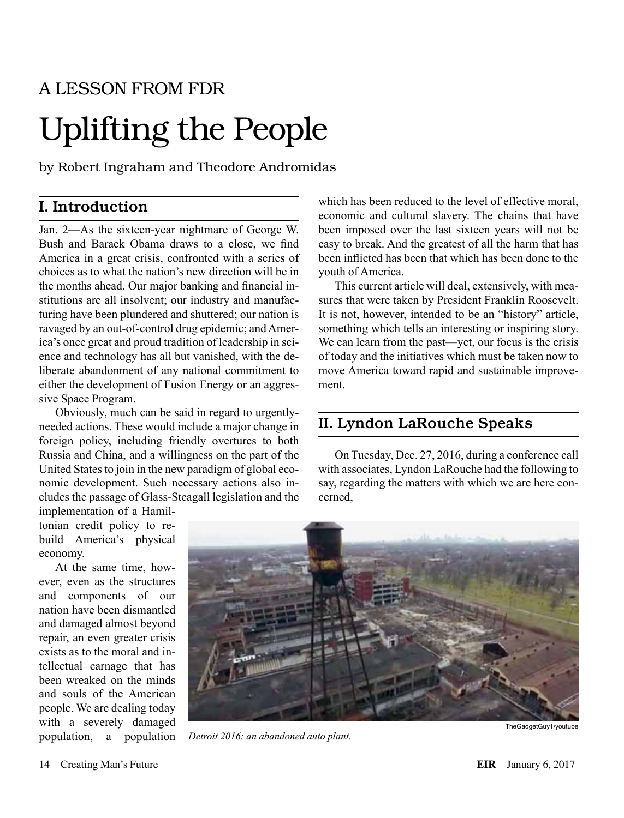## A LESSON FROM FDR

## Uplifting the People

by Robert Ingraham and Theodore Andromidas

## I. Introduction

Jan. 2—As the sixteen-year nightmare of George W. Bush and Barack Obama draws to a close, we find America in a great crisis, confronted with a series of choices as to what the nation's new direction will be in the months ahead. Our major banking and financial institutions are all insolvent; our industry and manufacturing have been plundered and shuttered; our nation is ravaged by an out-of-control drug epidemic; and America's once great and proud tradition of leadership in science and technology has all but vanished, with the deliberate abandonment of any national commitment to either the development of Fusion Energy or an aggressive Space Program.

Obviously, much can be said in regard to urgentlyneeded actions. These would include a major change in foreign policy, including friendly overtures to both Russia and China, and a willingness on the part of the United States to join in the new paradigm of global economic development. Such necessary actions also includes the passage of Glass-Steagall legislation and the

implementation of a Hamiltonian credit policy to rebuild America's physical economy.

At the same time, however, even as the structures and components of our nation have been dismantled and damaged almost beyond repair, an even greater crisis exists as to the moral and intellectual carnage that has been wreaked on the minds and souls of the American people. We are dealing today with a severely damaged population, a population which has been reduced to the level of effective moral. economic and cultural slavery. The chains that have been imposed over the last sixteen years will not be easy to break. And the greatest of all the harm that has been inflicted has been that which has been done to the youth of America.

This current article will deal, extensively, with measures that were taken by President Franklin Roosevelt. It is not, however, intended to be an "history" article, something which tells an interesting or inspiring story. We can learn from the past—yet, our focus is the crisis of today and the initiatives which must be taken now to move America toward rapid and sustainable improvement.

## II. Lyndon LaRouche Speaks

On Tuesday, Dec. 27, 2016, during a conference call with associates, Lyndon LaRouche had the following to say, regarding the matters with which we are here concerned,



*Detroit 2016: an abandoned auto plant.*

TheGadgetGuy1/youtube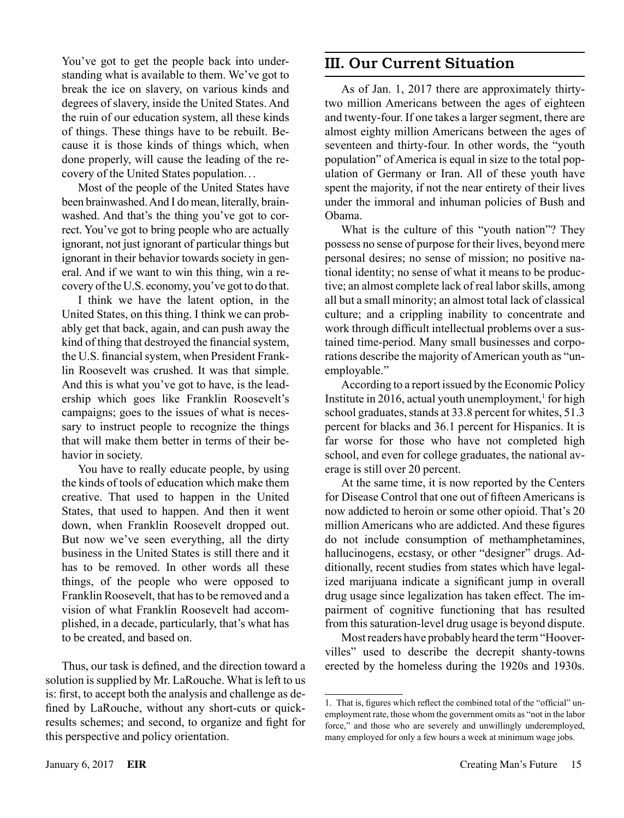You've got to get the people back into understanding what is available to them. We've got to break the ice on slavery, on various kinds and degrees of slavery, inside the United States. And the ruin of our education system, all these kinds of things. These things have to be rebuilt. Because it is those kinds of things which, when done properly, will cause the leading of the recovery of the United States population.. .

Most of the people of the United States have been brainwashed. And I do mean, literally, brainwashed. And that's the thing you've got to correct. You've got to bring people who are actually ignorant, not just ignorant of particular things but ignorant in their behavior towards society in general. And if we want to win this thing, win a recovery of the U.S. economy, you've got to do that.

I think we have the latent option, in the United States, on this thing. I think we can probably get that back, again, and can push away the kind of thing that destroyed the financial system, the U.S. financial system, when President Franklin Roosevelt was crushed. It was that simple. And this is what you've got to have, is the leadership which goes like Franklin Roosevelt's campaigns; goes to the issues of what is necessary to instruct people to recognize the things that will make them better in terms of their behavior in society.

You have to really educate people, by using the kinds of tools of education which make them creative. That used to happen in the United States, that used to happen. And then it went down, when Franklin Roosevelt dropped out. But now we've seen everything, all the dirty business in the United States is still there and it has to be removed. In other words all these things, of the people who were opposed to Franklin Roosevelt, that has to be removed and a vision of what Franklin Roosevelt had accomplished, in a decade, particularly, that's what has to be created, and based on.

Thus, our task is defined, and the direction toward a solution is supplied by Mr. LaRouche. What is left to us is: first, to accept both the analysis and challenge as defined by LaRouche, without any short-cuts or quickresults schemes; and second, to organize and fight for this perspective and policy orientation.

## III. Our Current Situation

As of Jan. 1, 2017 there are approximately thirtytwo million Americans between the ages of eighteen and twenty-four. If one takes a larger segment, there are almost eighty million Americans between the ages of seventeen and thirty-four. In other words, the "youth population" of America is equal in size to the total population of Germany or Iran. All of these youth have spent the majority, if not the near entirety of their lives under the immoral and inhuman policies of Bush and Obama.

What is the culture of this "youth nation"? They possess no sense of purpose for their lives, beyond mere personal desires; no sense of mission; no positive national identity; no sense of what it means to be productive; an almost complete lack of real labor skills, among all but a small minority; an almost total lack of classical culture; and a crippling inability to concentrate and work through difficult intellectual problems over a sustained time-period. Many small businesses and corporations describe the majority of American youth as "unemployable."

According to a report issued by the Economic Policy Institute in 2016, actual youth unemployment, $<sup>1</sup>$  for high</sup> school graduates, stands at 33.8 percent for whites, 51.3 percent for blacks and 36.1 percent for Hispanics. It is far worse for those who have not completed high school, and even for college graduates, the national average is still over 20 percent.

At the same time, it is now reported by the Centers for Disease Control that one out of fifteen Americans is now addicted to heroin or some other opioid. That's 20 million Americans who are addicted. And these figures do not include consumption of methamphetamines, hallucinogens, ecstasy, or other "designer" drugs. Additionally, recent studies from states which have legalized marijuana indicate a significant jump in overall drug usage since legalization has taken effect. The impairment of cognitive functioning that has resulted from this saturation-level drug usage is beyond dispute.

Most readers have probably heard the term "Hoovervilles" used to describe the decrepit shanty-towns erected by the homeless during the 1920s and 1930s.

<sup>1.</sup> That is, figures which reflect the combined total of the "official" unemployment rate, those whom the government omits as "not in the labor force," and those who are severely and unwillingly underemployed, many employed for only a few hours a week at minimum wage jobs.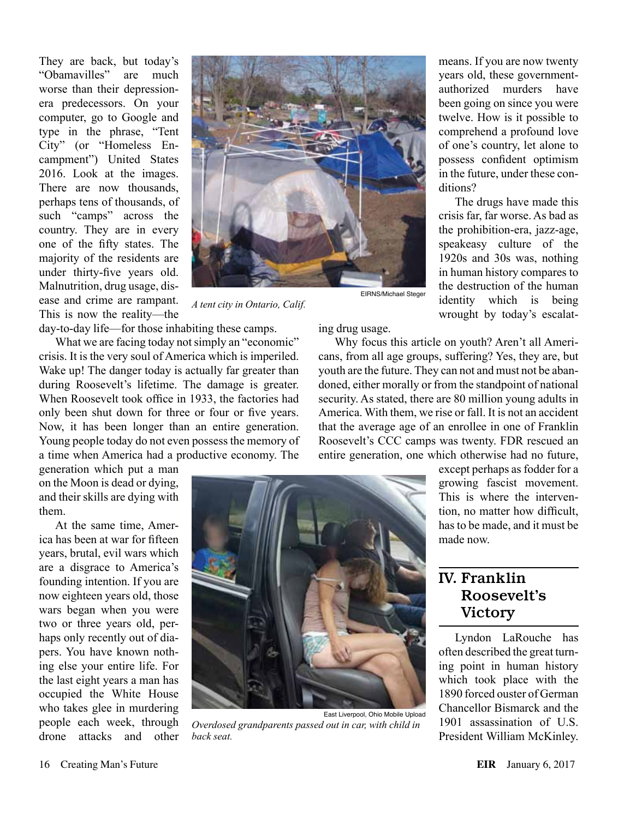They are back, but today's "Obamavilles" are much worse than their depressionera predecessors. On your computer, go to Google and type in the phrase, "Tent City" (or "Homeless Encampment") United States 2016. Look at the images. There are now thousands, perhaps tens of thousands, of such "camps" across the country. They are in every one of the fifty states. The majority of the residents are under thirty-five years old. Malnutrition, drug usage, disease and crime are rampant. This is now the reality—the



*A tent city in Ontario, Calif.*

day-to-day life—for those inhabiting these camps.

What we are facing today not simply an "economic" crisis. It is the very soul of America which is imperiled. Wake up! The danger today is actually far greater than during Roosevelt's lifetime. The damage is greater. When Roosevelt took office in 1933, the factories had only been shut down for three or four or five years. Now, it has been longer than an entire generation. Young people today do not even possess the memory of a time when America had a productive economy. The

generation which put a man on the Moon is dead or dying, and their skills are dying with them.

At the same time, America has been at war for fifteen years, brutal, evil wars which are a disgrace to America's founding intention. If you are now eighteen years old, those wars began when you were two or three years old, perhaps only recently out of diapers. You have known nothing else your entire life. For the last eight years a man has occupied the White House who takes glee in murdering people each week, through drone attacks and other

ing drug usage.

Why focus this article on youth? Aren't all Americans, from all age groups, suffering? Yes, they are, but youth are the future. They can not and must not be abandoned, either morally or from the standpoint of national security. As stated, there are 80 million young adults in America. With them, we rise or fall. It is not an accident that the average age of an enrollee in one of Franklin Roosevelt's CCC camps was twenty. FDR rescued an entire generation, one which otherwise had no future,



East Liverpool, Ohio Mobile Upload *Overdosed grandparents passed out in car, with child in back seat.*

except perhaps as fodder for a growing fascist movement. This is where the intervention, no matter how difficult, has to be made, and it must be made now.

The drugs have made this

wrought by today's escalat-

## IV. Franklin Roosevelt's Victory

Lyndon LaRouche has often described the great turning point in human history which took place with the 1890 forced ouster of German Chancellor Bismarck and the 1901 assassination of U.S. President William McKinley.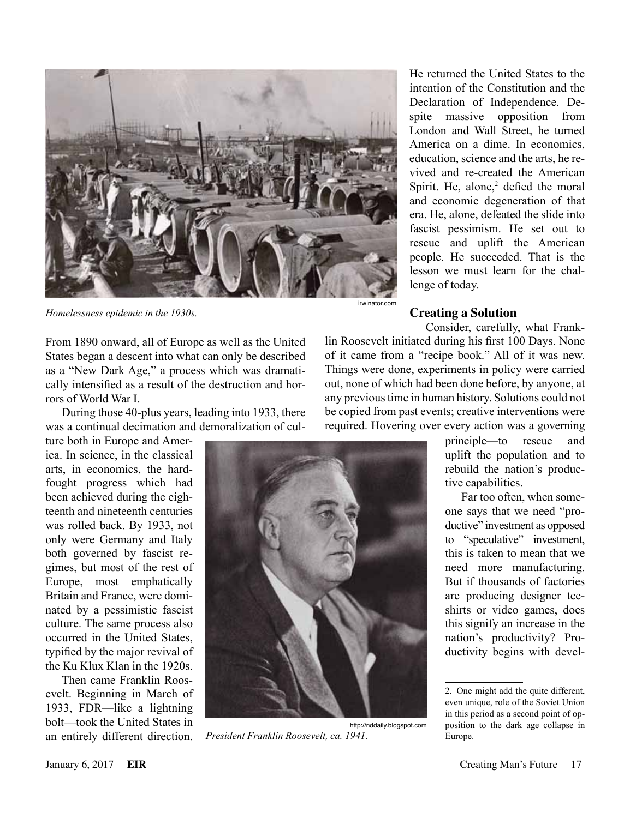

*Homelessness epidemic in the 1930s.*

From 1890 onward, all of Europe as well as the United States began a descent into what can only be described as a "New Dark Age," a process which was dramatically intensified as a result of the destruction and horrors of World War I.

During those 40-plus years, leading into 1933, there was a continual decimation and demoralization of cul-

ture both in Europe and America. In science, in the classical arts, in economics, the hardfought progress which had been achieved during the eighteenth and nineteenth centuries was rolled back. By 1933, not only were Germany and Italy both governed by fascist regimes, but most of the rest of Europe, most emphatically Britain and France, were dominated by a pessimistic fascist culture. The same process also occurred in the United States, typified by the major revival of the Ku Klux Klan in the 1920s.

Then came Franklin Roosevelt. Beginning in March of 1933, FDR—like a lightning bolt—took the United States in an entirely different direction.

irwinator.com

Consider, carefully, what Franklin Roosevelt initiated during his first 100 Days. None of it came from a "recipe book." All of it was new. Things were done, experiments in policy were carried out, none of which had been done before, by anyone, at any previous time in human history. Solutions could not be copied from past events; creative interventions were required. Hovering over every action was a governing

**Creating a Solution**

lenge of today.



http://nddaily.blogspot.com *President Franklin Roosevelt, ca. 1941.*

principle—to rescue and uplift the population and to rebuild the nation's productive capabilities.

He returned the United States to the intention of the Constitution and the Declaration of Independence. Despite massive opposition from London and Wall Street, he turned America on a dime. In economics, education, science and the arts, he revived and re-created the American Spirit. He, alone, $2$  defied the moral and economic degeneration of that era. He, alone, defeated the slide into fascist pessimism. He set out to rescue and uplift the American people. He succeeded. That is the lesson we must learn for the chal-

> Far too often, when someone says that we need "productive" investment as opposed to "speculative" investment, this is taken to mean that we need more manufacturing. But if thousands of factories are producing designer teeshirts or video games, does this signify an increase in the nation's productivity? Productivity begins with devel-

<sup>2.</sup> One might add the quite different, even unique, role of the Soviet Union in this period as a second point of opposition to the dark age collapse in Europe.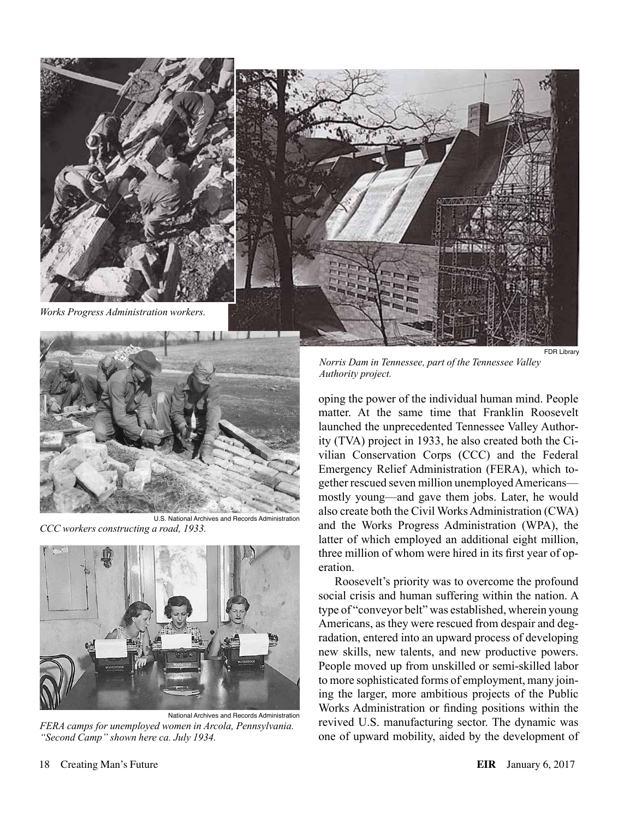



*CCC workers constructing a road, 1933.*



National Archives and Records Administration *FERA camps for unemployed women in Arcola, Pennsylvania. "Second Camp" shown here ca. July 1934.*

*Norris Dam in Tennessee, part of the Tennessee Valley Authority project.*

oping the power of the individual human mind. People matter. At the same time that Franklin Roosevelt launched the unprecedented Tennessee Valley Authority (TVA) project in 1933, he also created both the Civilian Conservation Corps (CCC) and the Federal Emergency Relief Administration (FERA), which together rescued seven million unemployed Americans mostly young—and gave them jobs. Later, he would also create both the Civil Works Administration (CWA) and the Works Progress Administration (WPA), the latter of which employed an additional eight million, three million of whom were hired in its first year of operation.

Roosevelt's priority was to overcome the profound social crisis and human suffering within the nation. A type of "conveyor belt" was established, wherein young Americans, as they were rescued from despair and degradation, entered into an upward process of developing new skills, new talents, and new productive powers. People moved up from unskilled or semi-skilled labor to more sophisticated forms of employment, many joining the larger, more ambitious projects of the Public Works Administration or finding positions within the revived U.S. manufacturing sector. The dynamic was one of upward mobility, aided by the development of

FDR Library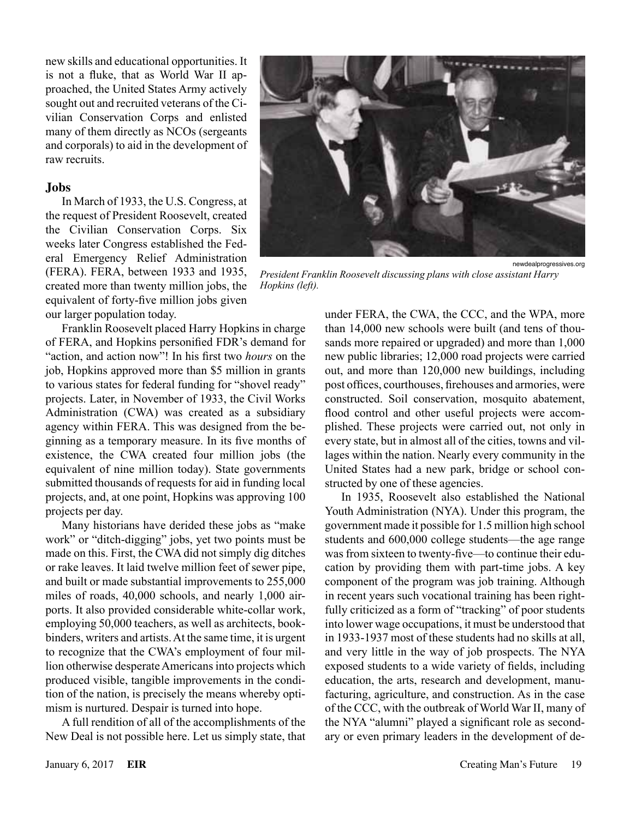new skills and educational opportunities. It is not a fluke, that as World War II approached, the United States Army actively sought out and recruited veterans of the Civilian Conservation Corps and enlisted many of them directly as NCOs (sergeants and corporals) to aid in the development of raw recruits.

#### **Jobs**

In March of 1933, the U.S. Congress, at the request of President Roosevelt, created the Civilian Conservation Corps. Six weeks later Congress established the Federal Emergency Relief Administration (FERA). FERA, between 1933 and 1935, created more than twenty million jobs, the equivalent of forty-five million jobs given our larger population today.

Franklin Roosevelt placed Harry Hopkins in charge of FERA, and Hopkins personified FDR's demand for "action, and action now"! In his first two *hours* on the job, Hopkins approved more than \$5 million in grants to various states for federal funding for "shovel ready" projects. Later, in November of 1933, the Civil Works Administration (CWA) was created as a subsidiary agency within FERA. This was designed from the beginning as a temporary measure. In its five months of existence, the CWA created four million jobs (the equivalent of nine million today). State governments submitted thousands of requests for aid in funding local projects, and, at one point, Hopkins was approving 100 projects per day.

Many historians have derided these jobs as "make work" or "ditch-digging" jobs, yet two points must be made on this. First, the CWA did not simply dig ditches or rake leaves. It laid twelve million feet of sewer pipe, and built or made substantial improvements to 255,000 miles of roads, 40,000 schools, and nearly 1,000 airports. It also provided considerable white-collar work, employing 50,000 teachers, as well as architects, bookbinders, writers and artists. At the same time, it is urgent to recognize that the CWA's employment of four million otherwise desperate Americans into projects which produced visible, tangible improvements in the condition of the nation, is precisely the means whereby optimism is nurtured. Despair is turned into hope.

A full rendition of all of the accomplishments of the New Deal is not possible here. Let us simply state, that



*President Franklin Roosevelt discussing plans with close assistant Harry Hopkins (left).*

under FERA, the CWA, the CCC, and the WPA, more than 14,000 new schools were built (and tens of thousands more repaired or upgraded) and more than 1,000 new public libraries; 12,000 road projects were carried out, and more than 120,000 new buildings, including post offices, courthouses, firehouses and armories, were constructed. Soil conservation, mosquito abatement, flood control and other useful projects were accomplished. These projects were carried out, not only in every state, but in almost all of the cities, towns and villages within the nation. Nearly every community in the United States had a new park, bridge or school constructed by one of these agencies.

In 1935, Roosevelt also established the National Youth Administration (NYA). Under this program, the government made it possible for 1.5 million high school students and 600,000 college students—the age range was from sixteen to twenty-five—to continue their education by providing them with part-time jobs. A key component of the program was job training. Although in recent years such vocational training has been rightfully criticized as a form of "tracking" of poor students into lower wage occupations, it must be understood that in 1933-1937 most of these students had no skills at all, and very little in the way of job prospects. The NYA exposed students to a wide variety of fields, including education, the arts, research and development, manufacturing, agriculture, and construction. As in the case of the CCC, with the outbreak of World War II, many of the NYA "alumni" played a significant role as secondary or even primary leaders in the development of de-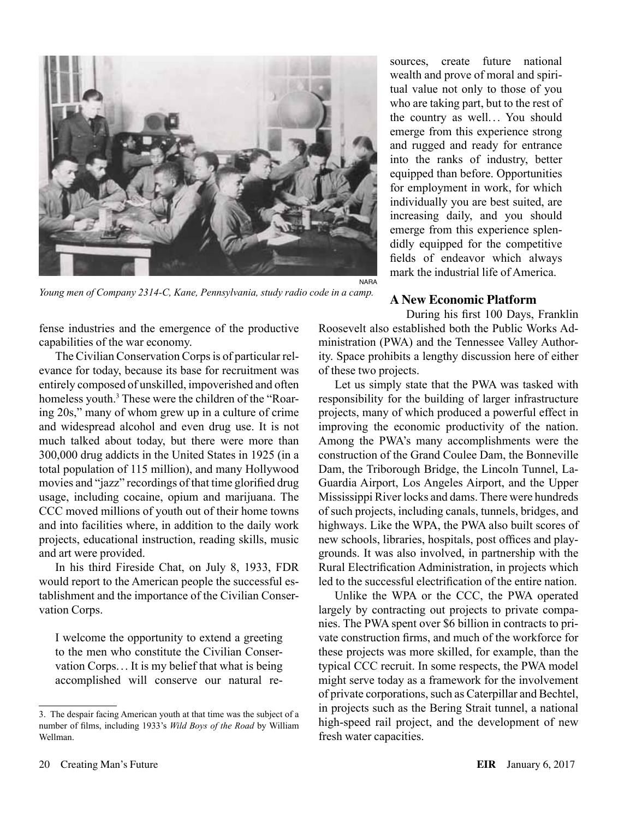

*Young men of Company 2314-C, Kane, Pennsylvania, study radio code in a camp.*

fense industries and the emergence of the productive capabilities of the war economy.

The Civilian Conservation Corps is of particular relevance for today, because its base for recruitment was entirely composed of unskilled, impoverished and often homeless youth.<sup>3</sup> These were the children of the "Roaring 20s," many of whom grew up in a culture of crime and widespread alcohol and even drug use. It is not much talked about today, but there were more than 300,000 drug addicts in the United States in 1925 (in a total population of 115 million), and many Hollywood movies and "jazz" recordings of that time glorified drug usage, including cocaine, opium and marijuana. The CCC moved millions of youth out of their home towns and into facilities where, in addition to the daily work projects, educational instruction, reading skills, music and art were provided.

In his third Fireside Chat, on July 8, 1933, FDR would report to the American people the successful establishment and the importance of the Civilian Conservation Corps.

I welcome the opportunity to extend a greeting to the men who constitute the Civilian Conservation Corps.. . It is my belief that what is being accomplished will conserve our natural re-

sources, create future national wealth and prove of moral and spiritual value not only to those of you who are taking part, but to the rest of the country as well. .. You should emerge from this experience strong and rugged and ready for entrance into the ranks of industry, better equipped than before. Opportunities for employment in work, for which individually you are best suited, are increasing daily, and you should emerge from this experience splendidly equipped for the competitive fields of endeavor which always mark the industrial life of America.

## **A New Economic Platform**

During his first 100 Days, Franklin Roosevelt also established both the Public Works Administration (PWA) and the Tennessee Valley Authority. Space prohibits a lengthy discussion here of either of these two projects.

Let us simply state that the PWA was tasked with responsibility for the building of larger infrastructure projects, many of which produced a powerful effect in improving the economic productivity of the nation. Among the PWA's many accomplishments were the construction of the Grand Coulee Dam, the Bonneville Dam, the Triborough Bridge, the Lincoln Tunnel, La-Guardia Airport, Los Angeles Airport, and the Upper Mississippi River locks and dams. There were hundreds of such projects, including canals, tunnels, bridges, and highways. Like the WPA, the PWA also built scores of new schools, libraries, hospitals, post offices and playgrounds. It was also involved, in partnership with the Rural Electrification Administration, in projects which led to the successful electrification of the entire nation.

Unlike the WPA or the CCC, the PWA operated largely by contracting out projects to private companies. The PWA spent over \$6 billion in contracts to private construction firms, and much of the workforce for these projects was more skilled, for example, than the typical CCC recruit. In some respects, the PWA model might serve today as a framework for the involvement of private corporations, such as Caterpillar and Bechtel, in projects such as the Bering Strait tunnel, a national high-speed rail project, and the development of new fresh water capacities.

<sup>3.</sup> The despair facing American youth at that time was the subject of a number of films, including 1933's *Wild Boys of the Road* by William Wellman.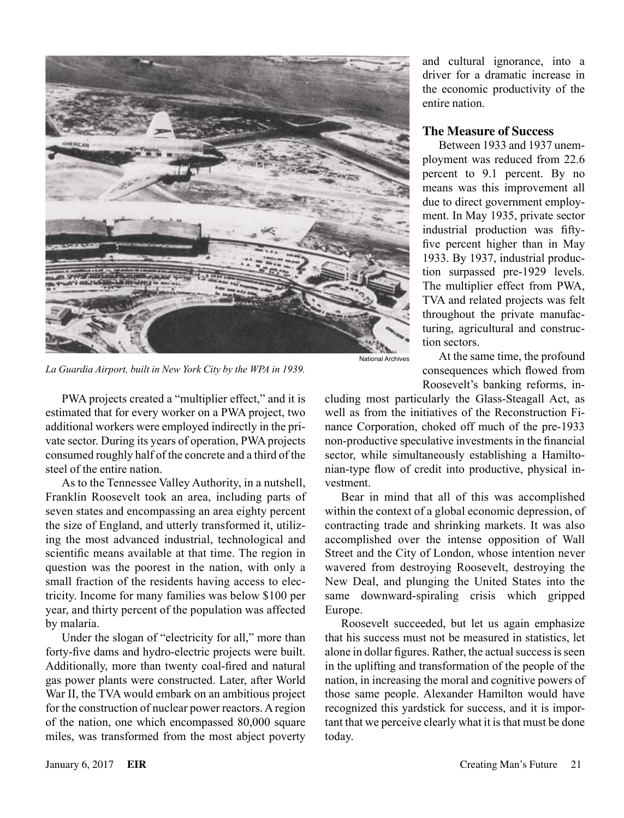

*La Guardia Airport, built in New York City by the WPA in 1939.*

PWA projects created a "multiplier effect," and it is estimated that for every worker on a PWA project, two additional workers were employed indirectly in the private sector. During its years of operation, PWA projects consumed roughly half of the concrete and a third of the steel of the entire nation.

As to the Tennessee Valley Authority, in a nutshell, Franklin Roosevelt took an area, including parts of seven states and encompassing an area eighty percent the size of England, and utterly transformed it, utilizing the most advanced industrial, technological and scientific means available at that time. The region in question was the poorest in the nation, with only a small fraction of the residents having access to electricity. Income for many families was below \$100 per year, and thirty percent of the population was affected by malaria.

Under the slogan of "electricity for all," more than forty-five dams and hydro-electric projects were built. Additionally, more than twenty coal-fired and natural gas power plants were constructed. Later, after World War II, the TVA would embark on an ambitious project for the construction of nuclear power reactors. A region of the nation, one which encompassed 80,000 square miles, was transformed from the most abject poverty and cultural ignorance, into a driver for a dramatic increase in the economic productivity of the entire nation.

#### **The Measure of Success**

Between 1933 and 1937 unemployment was reduced from 22.6 percent to 9.1 percent. By no means was this improvement all due to direct government employment. In May 1935, private sector industrial production was fiftyfive percent higher than in May 1933. By 1937, industrial production surpassed pre-1929 levels. The multiplier effect from PWA, TVA and related projects was felt throughout the private manufacturing, agricultural and construction sectors.

At the same time, the profound consequences which flowed from Roosevelt's banking reforms, in-

cluding most particularly the Glass-Steagall Act, as well as from the initiatives of the Reconstruction Finance Corporation, choked off much of the pre-1933 non-productive speculative investments in the financial sector, while simultaneously establishing a Hamiltonian-type flow of credit into productive, physical investment.

Bear in mind that all of this was accomplished within the context of a global economic depression, of contracting trade and shrinking markets. It was also accomplished over the intense opposition of Wall Street and the City of London, whose intention never wavered from destroying Roosevelt, destroying the New Deal, and plunging the United States into the same downward-spiraling crisis which gripped Europe.

Roosevelt succeeded, but let us again emphasize that his success must not be measured in statistics, let alone in dollar figures. Rather, the actual success is seen in the uplifting and transformation of the people of the nation, in increasing the moral and cognitive powers of those same people. Alexander Hamilton would have recognized this yardstick for success, and it is important that we perceive clearly what it is that must be done today.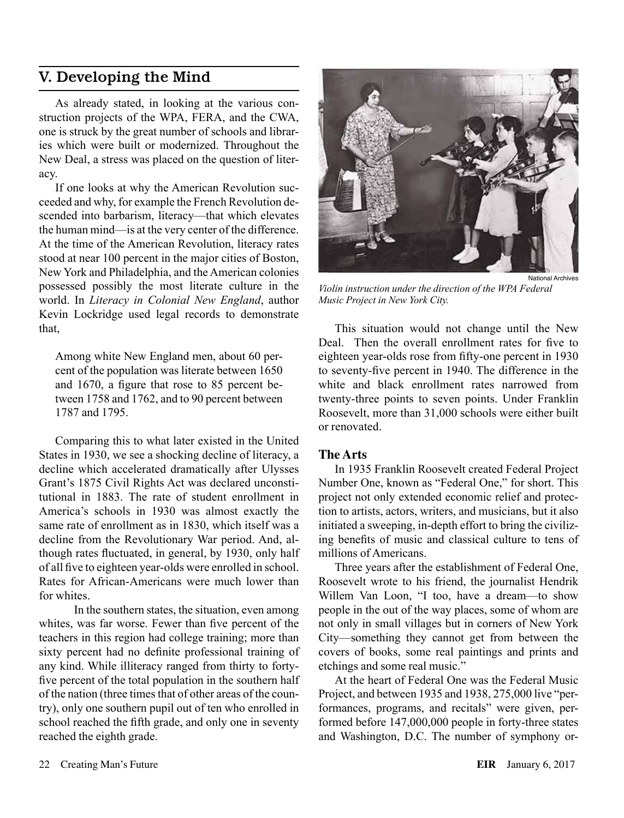## V. Developing the Mind

As already stated, in looking at the various construction projects of the WPA, FERA, and the CWA, one is struck by the great number of schools and libraries which were built or modernized. Throughout the New Deal, a stress was placed on the question of literacy.

If one looks at why the American Revolution succeeded and why, for example the French Revolution descended into barbarism, literacy—that which elevates the human mind—is at the very center of the difference. At the time of the American Revolution, literacy rates stood at near 100 percent in the major cities of Boston, New York and Philadelphia, and the American colonies possessed possibly the most literate culture in the world. In *Literacy in Colonial New England*, author Kevin Lockridge used legal records to demonstrate that,

Among white New England men, about 60 percent of the population was literate between 1650 and 1670, a figure that rose to 85 percent between 1758 and 1762, and to 90 percent between 1787 and 1795.

Comparing this to what later existed in the United States in 1930, we see a shocking decline of literacy, a decline which accelerated dramatically after Ulysses Grant's 1875 Civil Rights Act was declared unconstitutional in 1883. The rate of student enrollment in America's schools in 1930 was almost exactly the same rate of enrollment as in 1830, which itself was a decline from the Revolutionary War period. And, although rates fluctuated, in general, by 1930, only half of all five to eighteen year-olds were enrolled in school. Rates for African-Americans were much lower than for whites.

 In the southern states, the situation, even among whites, was far worse. Fewer than five percent of the teachers in this region had college training; more than sixty percent had no definite professional training of any kind. While illiteracy ranged from thirty to fortyfive percent of the total population in the southern half of the nation (three times that of other areas of the country), only one southern pupil out of ten who enrolled in school reached the fifth grade, and only one in seventy reached the eighth grade.



*Violin instruction under the direction of the WPA Federal Music Project in New York City.*

This situation would not change until the New Deal. Then the overall enrollment rates for five to eighteen year-olds rose from fifty-one percent in 1930 to seventy-five percent in 1940. The difference in the white and black enrollment rates narrowed from twenty-three points to seven points. Under Franklin Roosevelt, more than 31,000 schools were either built or renovated.

#### **The Arts**

In 1935 Franklin Roosevelt created Federal Project Number One, known as "Federal One," for short. This project not only extended economic relief and protection to artists, actors, writers, and musicians, but it also initiated a sweeping, in-depth effort to bring the civilizing benefits of music and classical culture to tens of millions of Americans.

Three years after the establishment of Federal One, Roosevelt wrote to his friend, the journalist Hendrik Willem Van Loon, "I too, have a dream—to show people in the out of the way places, some of whom are not only in small villages but in corners of New York City—something they cannot get from between the covers of books, some real paintings and prints and etchings and some real music."

At the heart of Federal One was the Federal Music Project, and between 1935 and 1938, 275,000 live "performances, programs, and recitals" were given, performed before 147,000,000 people in forty-three states and Washington, D.C. The number of symphony or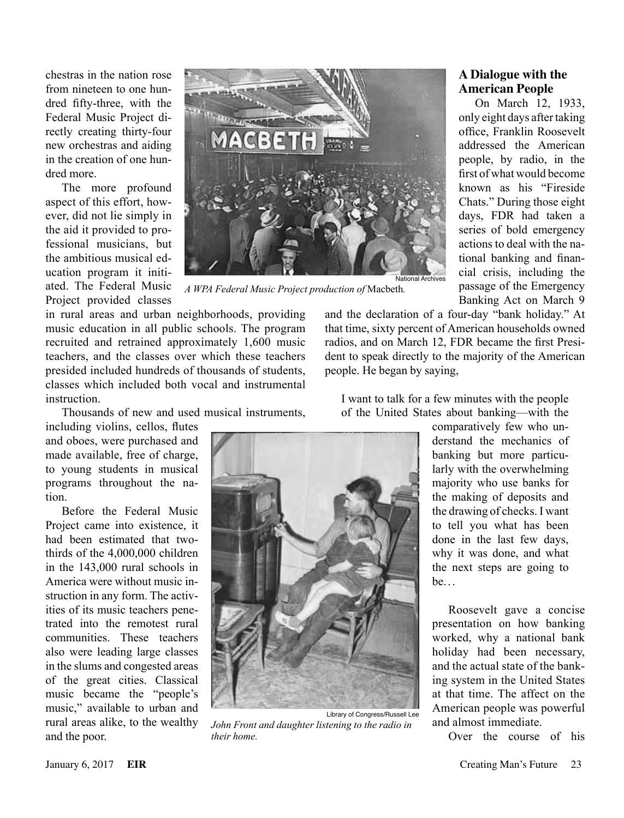chestras in the nation rose from nineteen to one hundred fifty-three, with the Federal Music Project directly creating thirty-four new orchestras and aiding in the creation of one hundred more.

The more profound aspect of this effort, however, did not lie simply in the aid it provided to professional musicians, but the ambitious musical education program it initiated. The Federal Music Project provided classes



*A WPA Federal Music Project production of* Macbeth*.*

in rural areas and urban neighborhoods, providing music education in all public schools. The program recruited and retrained approximately 1,600 music teachers, and the classes over which these teachers presided included hundreds of thousands of students, classes which included both vocal and instrumental instruction.

Thousands of new and used musical instruments,

including violins, cellos, flutes and oboes, were purchased and made available, free of charge, to young students in musical programs throughout the nation.

Before the Federal Music Project came into existence, it had been estimated that twothirds of the 4,000,000 children in the 143,000 rural schools in America were without music instruction in any form. The activities of its music teachers penetrated into the remotest rural communities. These teachers also were leading large classes in the slums and congested areas of the great cities. Classical music became the "people's music," available to urban and rural areas alike, to the wealthy and the poor.



Library of Congress/Russell Lee *John Front and daughter listening to the radio in their home.*

#### **A Dialogue with the American People**

On March 12, 1933, only eight days after taking office, Franklin Roosevelt addressed the American people, by radio, in the first of what would become known as his "Fireside Chats." During those eight days, FDR had taken a series of bold emergency actions to deal with the national banking and financial crisis, including the passage of the Emergency Banking Act on March 9

and the declaration of a four-day "bank holiday." At that time, sixty percent of American households owned radios, and on March 12, FDR became the first President to speak directly to the majority of the American people. He began by saying,

I want to talk for a few minutes with the people of the United States about banking—with the

> comparatively few who understand the mechanics of banking but more particularly with the overwhelming majority who use banks for the making of deposits and the drawing of checks. I want to tell you what has been done in the last few days, why it was done, and what the next steps are going to be. . .

Roosevelt gave a concise presentation on how banking worked, why a national bank holiday had been necessary, and the actual state of the banking system in the United States at that time. The affect on the American people was powerful and almost immediate.

Over the course of his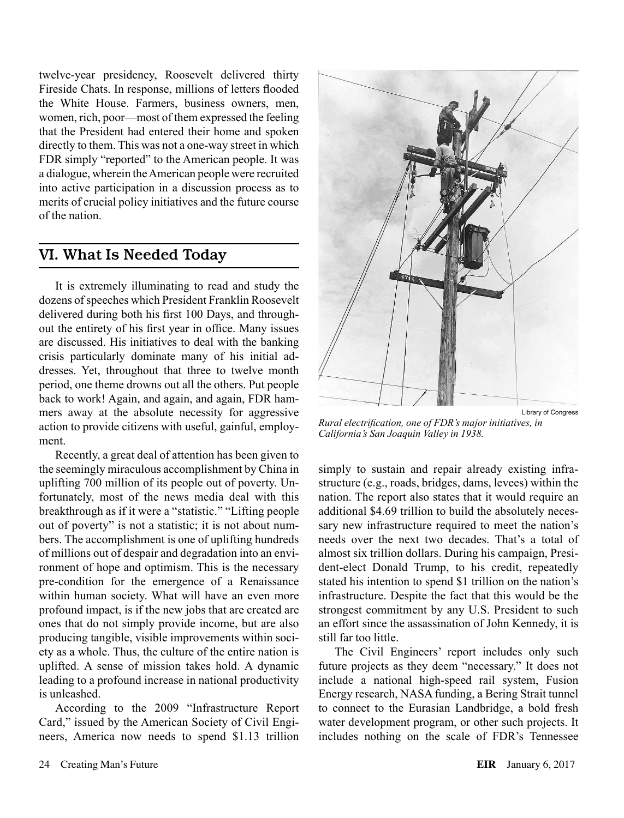twelve-year presidency, Roosevelt delivered thirty Fireside Chats. In response, millions of letters flooded the White House. Farmers, business owners, men, women, rich, poor—most of them expressed the feeling that the President had entered their home and spoken directly to them. This was not a one-way street in which FDR simply "reported" to the American people. It was a dialogue, wherein the American people were recruited into active participation in a discussion process as to merits of crucial policy initiatives and the future course of the nation.

## VI. What Is Needed Today

It is extremely illuminating to read and study the dozens of speeches which President Franklin Roosevelt delivered during both his first 100 Days, and throughout the entirety of his first year in office. Many issues are discussed. His initiatives to deal with the banking crisis particularly dominate many of his initial addresses. Yet, throughout that three to twelve month period, one theme drowns out all the others. Put people back to work! Again, and again, and again, FDR hammers away at the absolute necessity for aggressive action to provide citizens with useful, gainful, employment.

Recently, a great deal of attention has been given to the seemingly miraculous accomplishment by China in uplifting 700 million of its people out of poverty. Unfortunately, most of the news media deal with this breakthrough as if it were a "statistic." "Lifting people out of poverty" is not a statistic; it is not about numbers. The accomplishment is one of uplifting hundreds of millions out of despair and degradation into an environment of hope and optimism. This is the necessary pre-condition for the emergence of a Renaissance within human society. What will have an even more profound impact, is if the new jobs that are created are ones that do not simply provide income, but are also producing tangible, visible improvements within society as a whole. Thus, the culture of the entire nation is uplifted. A sense of mission takes hold. A dynamic leading to a profound increase in national productivity is unleashed.

According to the 2009 "Infrastructure Report Card," issued by the American Society of Civil Engineers, America now needs to spend \$1.13 trillion



*Rural electrification, one of FDR's major initiatives, in California's San Joaquin Valley in 1938.*

simply to sustain and repair already existing infrastructure (e.g., roads, bridges, dams, levees) within the nation. The report also states that it would require an additional \$4.69 trillion to build the absolutely necessary new infrastructure required to meet the nation's needs over the next two decades. That's a total of almost six trillion dollars. During his campaign, President-elect Donald Trump, to his credit, repeatedly stated his intention to spend \$1 trillion on the nation's infrastructure. Despite the fact that this would be the strongest commitment by any U.S. President to such an effort since the assassination of John Kennedy, it is still far too little.

The Civil Engineers' report includes only such future projects as they deem "necessary." It does not include a national high-speed rail system, Fusion Energy research, NASA funding, a Bering Strait tunnel to connect to the Eurasian Landbridge, a bold fresh water development program, or other such projects. It includes nothing on the scale of FDR's Tennessee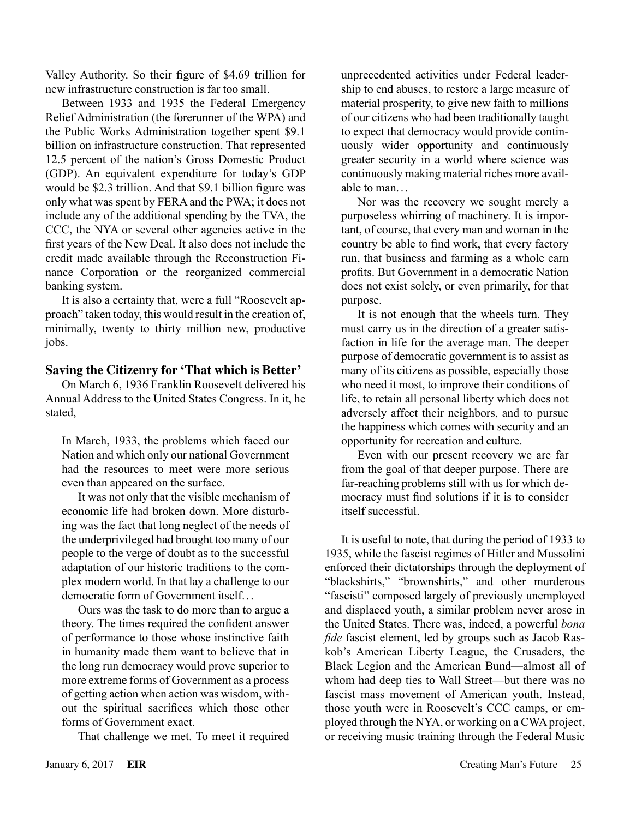Valley Authority. So their figure of \$4.69 trillion for new infrastructure construction is far too small.

Between 1933 and 1935 the Federal Emergency Relief Administration (the forerunner of the WPA) and the Public Works Administration together spent \$9.1 billion on infrastructure construction. That represented 12.5 percent of the nation's Gross Domestic Product (GDP). An equivalent expenditure for today's GDP would be \$2.3 trillion. And that \$9.1 billion figure was only what was spent by FERA and the PWA; it does not include any of the additional spending by the TVA, the CCC, the NYA or several other agencies active in the first years of the New Deal. It also does not include the credit made available through the Reconstruction Finance Corporation or the reorganized commercial banking system.

It is also a certainty that, were a full "Roosevelt approach" taken today, this would result in the creation of, minimally, twenty to thirty million new, productive jobs.

#### **Saving the Citizenry for 'That which is Better'**

On March 6, 1936 Franklin Roosevelt delivered his Annual Address to the United States Congress. In it, he stated,

In March, 1933, the problems which faced our Nation and which only our national Government had the resources to meet were more serious even than appeared on the surface.

It was not only that the visible mechanism of economic life had broken down. More disturbing was the fact that long neglect of the needs of the underprivileged had brought too many of our people to the verge of doubt as to the successful adaptation of our historic traditions to the complex modern world. In that lay a challenge to our democratic form of Government itself...

Ours was the task to do more than to argue a theory. The times required the confident answer of performance to those whose instinctive faith in humanity made them want to believe that in the long run democracy would prove superior to more extreme forms of Government as a process of getting action when action was wisdom, without the spiritual sacrifices which those other forms of Government exact.

That challenge we met. To meet it required

unprecedented activities under Federal leadership to end abuses, to restore a large measure of material prosperity, to give new faith to millions of our citizens who had been traditionally taught to expect that democracy would provide continuously wider opportunity and continuously greater security in a world where science was continuously making material riches more available to man. ..

Nor was the recovery we sought merely a purposeless whirring of machinery. It is important, of course, that every man and woman in the country be able to find work, that every factory run, that business and farming as a whole earn profits. But Government in a democratic Nation does not exist solely, or even primarily, for that purpose.

It is not enough that the wheels turn. They must carry us in the direction of a greater satisfaction in life for the average man. The deeper purpose of democratic government is to assist as many of its citizens as possible, especially those who need it most, to improve their conditions of life, to retain all personal liberty which does not adversely affect their neighbors, and to pursue the happiness which comes with security and an opportunity for recreation and culture.

Even with our present recovery we are far from the goal of that deeper purpose. There are far-reaching problems still with us for which democracy must find solutions if it is to consider itself successful.

It is useful to note, that during the period of 1933 to 1935, while the fascist regimes of Hitler and Mussolini enforced their dictatorships through the deployment of "blackshirts," "brownshirts," and other murderous "fascisti" composed largely of previously unemployed and displaced youth, a similar problem never arose in the United States. There was, indeed, a powerful *bona fide* fascist element, led by groups such as Jacob Raskob's American Liberty League, the Crusaders, the Black Legion and the American Bund—almost all of whom had deep ties to Wall Street—but there was no fascist mass movement of American youth. Instead, those youth were in Roosevelt's CCC camps, or employed through the NYA, or working on a CWA project, or receiving music training through the Federal Music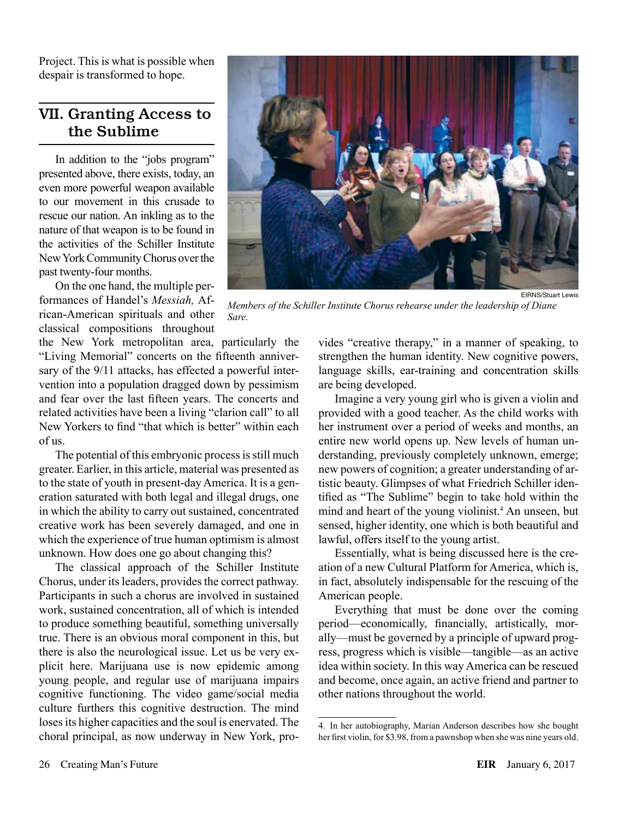Project. This is what is possible when despair is transformed to hope.

## VII. Granting Access to the Sublime

In addition to the "jobs program" presented above, there exists, today, an even more powerful weapon available to our movement in this crusade to rescue our nation. An inkling as to the nature of that weapon is to be found in the activities of the Schiller Institute New York Community Chorus over the past twenty-four months.

On the one hand, the multiple performances of Handel's *Messiah,* African-American spirituals and other classical compositions throughout

the New York metropolitan area, particularly the "Living Memorial" concerts on the fifteenth anniversary of the 9/11 attacks, has effected a powerful intervention into a population dragged down by pessimism and fear over the last fifteen years. The concerts and related activities have been a living "clarion call" to all New Yorkers to find "that which is better" within each of us.

The potential of this embryonic process is still much greater. Earlier, in this article, material was presented as to the state of youth in present-day America. It is a generation saturated with both legal and illegal drugs, one in which the ability to carry out sustained, concentrated creative work has been severely damaged, and one in which the experience of true human optimism is almost unknown. How does one go about changing this?

The classical approach of the Schiller Institute Chorus, under its leaders, provides the correct pathway. Participants in such a chorus are involved in sustained work, sustained concentration, all of which is intended to produce something beautiful, something universally true. There is an obvious moral component in this, but there is also the neurological issue. Let us be very explicit here. Marijuana use is now epidemic among young people, and regular use of marijuana impairs cognitive functioning. The video game/social media culture furthers this cognitive destruction. The mind loses its higher capacities and the soul is enervated. The choral principal, as now underway in New York, pro-



*Members of the Schiller Institute Chorus rehearse under the leadership of Diane Sare.*

vides "creative therapy," in a manner of speaking, to strengthen the human identity. New cognitive powers, language skills, ear-training and concentration skills are being developed.

Imagine a very young girl who is given a violin and provided with a good teacher. As the child works with her instrument over a period of weeks and months, an entire new world opens up. New levels of human understanding, previously completely unknown, emerge; new powers of cognition; a greater understanding of artistic beauty. Glimpses of what Friedrich Schiller identified as "The Sublime" begin to take hold within the mind and heart of the young violinist.<sup>4</sup> An unseen, but sensed, higher identity, one which is both beautiful and lawful, offers itself to the young artist.

Essentially, what is being discussed here is the creation of a new Cultural Platform for America, which is, in fact, absolutely indispensable for the rescuing of the American people.

Everything that must be done over the coming period—economically, financially, artistically, morally—must be governed by a principle of upward progress, progress which is visible—tangible—as an active idea within society. In this way America can be rescued and become, once again, an active friend and partner to other nations throughout the world.

<sup>4.</sup> In her autobiography, Marian Anderson describes how she bought her first violin, for \$3.98, from a pawnshop when she was nine years old.